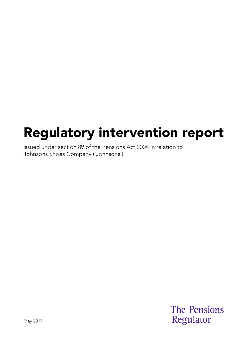# Regulatory intervention report

issued under section 89 of the Pensions Act 2004 in relation to Johnsons Shoes Company ('Johnsons')

> **The Pensions** Regulator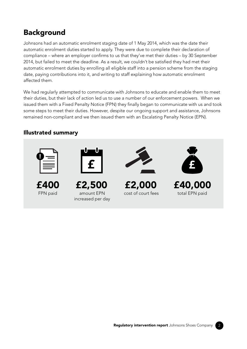## **Background**

Johnsons had an automatic enrolment staging date of 1 May 2014, which was the date their automatic enrolment duties started to apply. They were due to complete their declaration of compliance – where an employer confirms to us that they've met their duties – by 30 September 2014, but failed to meet the deadline. As a result, we couldn't be satisfied they had met their automatic enrolment duties by enrolling all eligible staff into a pension scheme from the staging date, paying contributions into it, and writing to staff explaining how automatic enrolment affected them.

We had regularly attempted to communicate with Johnsons to educate and enable them to meet their duties, but their lack of action led us to use a number of our enforcement powers. When we issued them with a Fixed Penalty Notice (FPN) they finally began to communicate with us and took some steps to meet their duties. However, despite our ongoing support and assistance, Johnsons remained non-compliant and we then issued them with an Escalating Penalty Notice (EPN).

### Illustrated summary





- FPN paid
- amount EPN increased per day



cost of court fees total EPN paid



£400 £2,500 £2,000 £40,000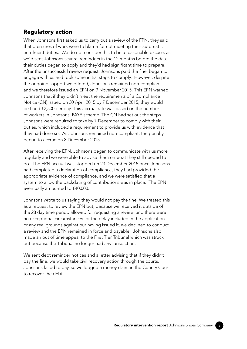#### Regulatory action

When Johnsons first asked us to carry out a review of the FPN, they said that pressures of work were to blame for not meeting their automatic enrolment duties. We do not consider this to be a reasonable excuse, as we'd sent Johnsons several reminders in the 12 months before the date their duties began to apply and they'd had significant time to prepare. After the unsuccessful review request, Johnsons paid the fine, began to engage with us and took some initial steps to comply. However, despite the ongoing support we offered, Johnsons remained non-compliant and we therefore issued an EPN on 9 November 2015. This EPN warned Johnsons that if they didn't meet the requirements of a Compliance Notice (CN) issued on 30 April 2015 by 7 December 2015, they would be fined £2,500 per day. This accrual rate was based on the number of workers in Johnsons' PAYE scheme. The CN had set out the steps Johnsons were required to take by 7 December to comply with their duties, which included a requirement to provide us with evidence that they had done so. As Johnsons remained non-compliant, the penalty began to accrue on 8 December 2015.

After receiving the EPN, Johnsons began to communicate with us more regularly and we were able to advise them on what they still needed to do. The EPN accrual was stopped on 23 December 2015 once Johnsons had completed a declaration of compliance, they had provided the appropriate evidence of compliance, and we were satisfied that a system to allow the backdating of contributions was in place. The EPN eventually amounted to £40,000.

Johnsons wrote to us saying they would not pay the fine. We treated this as a request to review the EPN but, because we received it outside of the 28 day time period allowed for requesting a review, and there were no exceptional circumstances for the delay included in the application or any real grounds against our having issued it, we declined to conduct a review and the EPN remained in force and payable. Johnsons also made an out of time appeal to the First Tier Tribunal which was struck out because the Tribunal no longer had any jurisdiction.

We sent debt reminder notices and a letter advising that if they didn't pay the fine, we would take civil recovery action through the courts. Johnsons failed to pay, so we lodged a money claim in the County Court to recover the debt.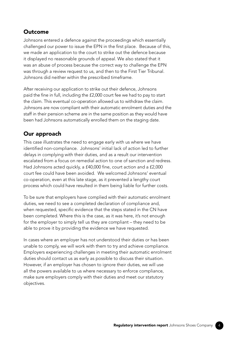#### Outcome

Johnsons entered a defence against the proceedings which essentially challenged our power to issue the EPN in the first place. Because of this, we made an application to the court to strike out the defence because it displayed no reasonable grounds of appeal. We also stated that it was an abuse of process because the correct way to challenge the EPN was through a review request to us, and then to the First Tier Tribunal. Johnsons did neither within the prescribed timeframe.

After receiving our application to strike out their defence, Johnsons paid the fine in full, including the £2,000 court fee we had to pay to start the claim. This eventual co-operation allowed us to withdraw the claim. Johnsons are now compliant with their automatic enrolment duties and the staff in their pension scheme are in the same position as they would have been had Johnsons automatically enrolled them on the staging date.

#### Our approach

This case illustrates the need to engage early with us where we have identified non-compliance. Johnsons' initial lack of action led to further delays in complying with their duties, and as a result our intervention escalated from a focus on remedial action to one of sanction and redress. Had Johnsons acted quickly, a £40,000 fine, court action and a £2,000 court fee could have been avoided. We welcomed Johnsons' eventual co-operation, even at this late stage, as it prevented a lengthy court process which could have resulted in them being liable for further costs.

To be sure that employers have complied with their automatic enrolment duties, we need to see a completed declaration of compliance and, when requested, specific evidence that the steps stated in the CN have been completed. Where this is the case, as it was here, it's not enough for the employer to simply tell us they are compliant – they need to be able to prove it by providing the evidence we have requested.

In cases where an employer has not understood their duties or has been unable to comply, we will work with them to try and achieve compliance. Employers experiencing challenges in meeting their automatic enrolment duties should contact us as early as possible to discuss their situation. However, if an employer has chosen to ignore their duties, we will use all the powers available to us where necessary to enforce compliance, make sure employers comply with their duties and meet our statutory objectives.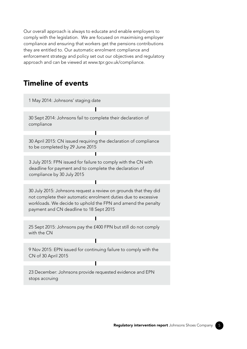Our overall approach is always to educate and enable employers to comply with the legislation. We are focused on maximising employer compliance and ensuring that workers get the pensions contributions they are entitled to. Our automatic enrolment compliance and enforcement strategy and policy set out our objectives and regulatory approach and can be viewed at www.tpr.gov.uk/compliance.

## Timeline of events